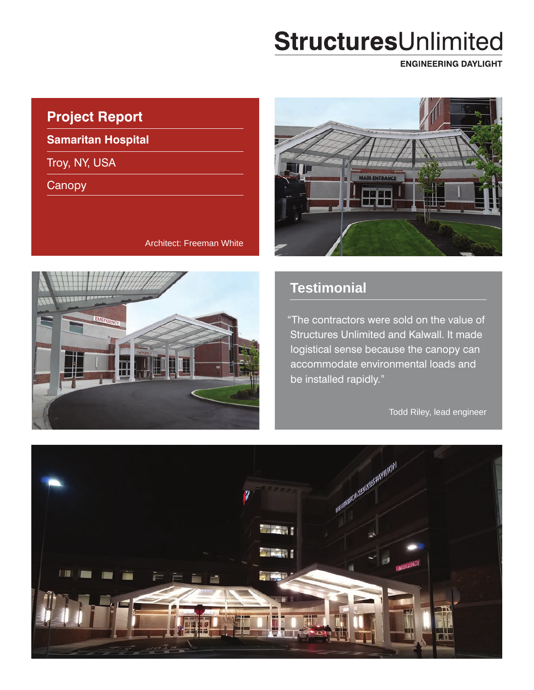# StructuresUnlimited

**ENGINEERING DAYLIGHT** 

## **Project Report**

**Samaritan Hospital**

Troy, NY, USA

**Canopy** 

Ш

Architect: Freeman White



## **Testimonial**

"The contractors were sold on the value of Structures Unlimited and Kalwall. It made logistical sense because the canopy can accommodate environmental loads and be installed rapidly."

Todd Riley, lead engineer